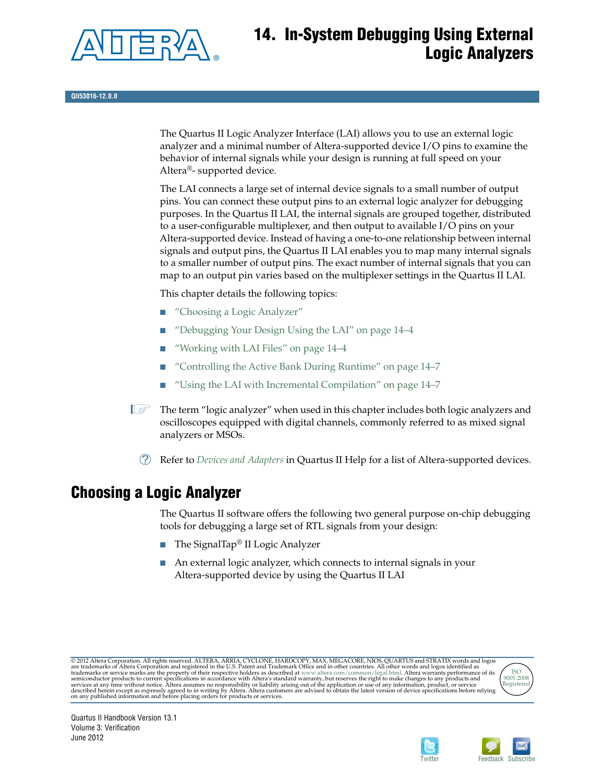

# **14. In-System Debugging Using External Logic Analyzers**

**QII53016-12.0.0**

The Quartus II Logic Analyzer Interface (LAI) allows you to use an external logic analyzer and a minimal number of Altera-supported device I/O pins to examine the behavior of internal signals while your design is running at full speed on your Altera®- supported device.

The LAI connects a large set of internal device signals to a small number of output pins. You can connect these output pins to an external logic analyzer for debugging purposes. In the Quartus II LAI, the internal signals are grouped together, distributed to a user-configurable multiplexer, and then output to available I/O pins on your Altera-supported device. Instead of having a one-to-one relationship between internal signals and output pins, the Quartus II LAI enables you to map many internal signals to a smaller number of output pins. The exact number of internal signals that you can map to an output pin varies based on the multiplexer settings in the Quartus II LAI.

This chapter details the following topics:

- ["Choosing a Logic Analyzer"](#page-0-0)
- ["Debugging Your Design Using the LAI" on page 14–4](#page-3-1)
- ["Working with LAI Files" on page 14–4](#page-3-0)
- ["Controlling the Active Bank During Runtime" on page 14–7](#page-6-0)
- ["Using the LAI with Incremental Compilation" on page 14–7](#page-6-1)

 $\mathbb{I}$  The term "logic analyzer" when used in this chapter includes both logic analyzers and oscilloscopes equipped with digital channels, commonly referred to as mixed signal analyzers or MSOs.

h Refer to *[Devices and Adapters](http://quartushelp.altera.com/current/master.htm#mergedProjects/device/dev/dev_list_dev_adapt.htm)* in Quartus II Help for a list of Altera-supported devices.

## <span id="page-0-0"></span>**Choosing a Logic Analyzer**

The Quartus II software offers the following two general purpose on-chip debugging tools for debugging a large set of RTL signals from your design:

- The SignalTap<sup>®</sup> II Logic Analyzer
- An external logic analyzer, which connects to internal signals in your Altera-supported device by using the Quartus II LAI

© 2012 Altera Corporation. All rights reserved. ALTERA, ARRIA, CYCLONE, HARDCOPY, MAX, MEGACORE, NIOS, QUARTUS and STRATIX words and logos<br>are trademarks of Altera Corporation and registered in the U.S. Patent and Trademar





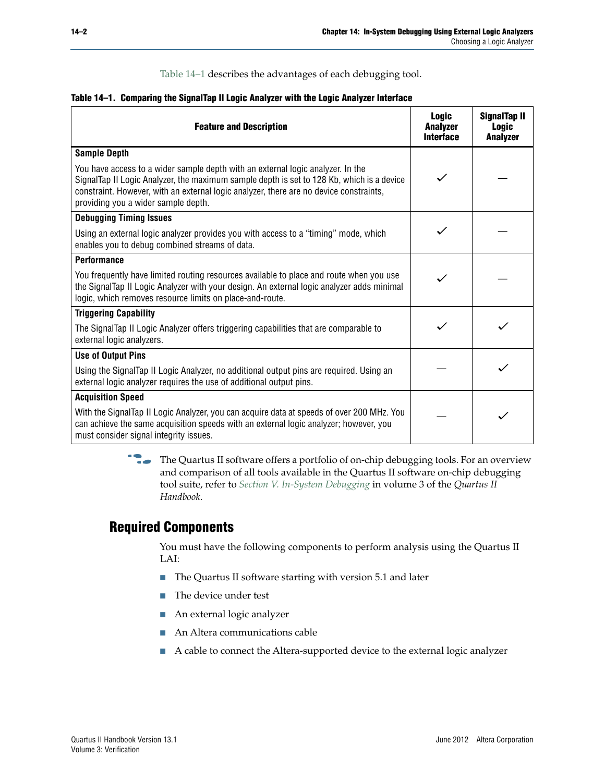[Table 14–1](#page-1-0) describes the advantages of each debugging tool.

<span id="page-1-0"></span>

|  |  |  |  |  |  |  | Table 14–1. Comparing the SignalTap II Logic Analyzer with the Logic Analyzer Interface |
|--|--|--|--|--|--|--|-----------------------------------------------------------------------------------------|
|--|--|--|--|--|--|--|-----------------------------------------------------------------------------------------|

| <b>Feature and Description</b>                                                                                                                                                                                                                                                                                | <b>Logic</b><br><b>Analyzer</b><br><b>Interface</b> | SignalTap II<br><b>Logic</b><br><b>Analyzer</b> |
|---------------------------------------------------------------------------------------------------------------------------------------------------------------------------------------------------------------------------------------------------------------------------------------------------------------|-----------------------------------------------------|-------------------------------------------------|
| <b>Sample Depth</b>                                                                                                                                                                                                                                                                                           |                                                     |                                                 |
| You have access to a wider sample depth with an external logic analyzer. In the<br>SignalTap II Logic Analyzer, the maximum sample depth is set to 128 Kb, which is a device<br>constraint. However, with an external logic analyzer, there are no device constraints,<br>providing you a wider sample depth. |                                                     |                                                 |
| <b>Debugging Timing Issues</b>                                                                                                                                                                                                                                                                                |                                                     |                                                 |
| Using an external logic analyzer provides you with access to a "timing" mode, which<br>enables you to debug combined streams of data.                                                                                                                                                                         |                                                     |                                                 |
| <b>Performance</b>                                                                                                                                                                                                                                                                                            |                                                     |                                                 |
| You frequently have limited routing resources available to place and route when you use<br>the SignalTap II Logic Analyzer with your design. An external logic analyzer adds minimal<br>logic, which removes resource limits on place-and-route.                                                              |                                                     |                                                 |
| <b>Triggering Capability</b>                                                                                                                                                                                                                                                                                  |                                                     |                                                 |
| The SignalTap II Logic Analyzer offers triggering capabilities that are comparable to<br>external logic analyzers.                                                                                                                                                                                            |                                                     |                                                 |
| <b>Use of Output Pins</b>                                                                                                                                                                                                                                                                                     |                                                     |                                                 |
| Using the SignalTap II Logic Analyzer, no additional output pins are required. Using an<br>external logic analyzer requires the use of additional output pins.                                                                                                                                                |                                                     |                                                 |
| <b>Acquisition Speed</b>                                                                                                                                                                                                                                                                                      |                                                     |                                                 |
| With the SignalTap II Logic Analyzer, you can acquire data at speeds of over 200 MHz. You<br>can achieve the same acquisition speeds with an external logic analyzer; however, you<br>must consider signal integrity issues.                                                                                  |                                                     |                                                 |

**Follow** The Quartus II software offers a portfolio of on-chip debugging tools. For an overview and comparison of all tools available in the Quartus II software on-chip debugging tool suite, refer to *[Section V. In-System Debugging](http://www.altera.com/literature/hb/qts/qts_qii5v3_05.pdf)* in volume 3 of the *Quartus II Handbook*.

#### **Required Components**

You must have the following components to perform analysis using the Quartus II LAI:

- The Quartus II software starting with version 5.1 and later
- The device under test
- An external logic analyzer
- An Altera communications cable
- A cable to connect the Altera-supported device to the external logic analyzer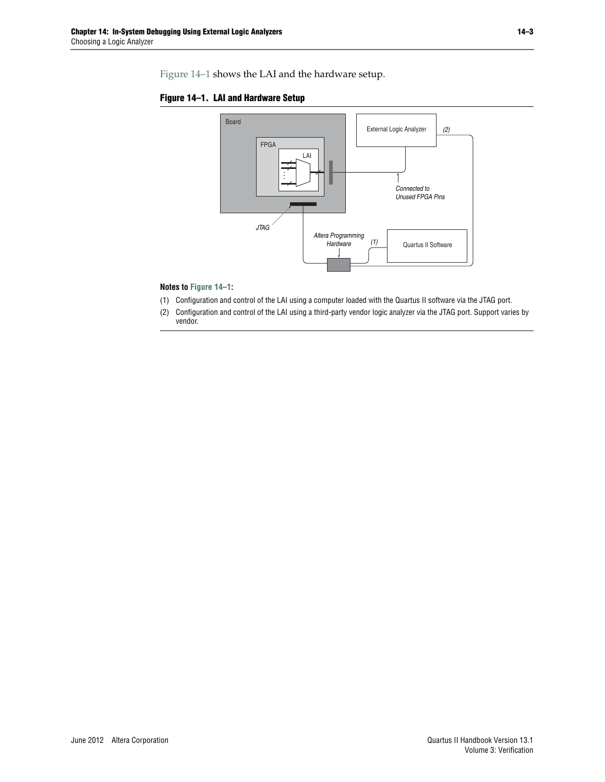[Figure 14–1](#page-2-0) shows the LAI and the hardware setup.

<span id="page-2-0"></span>



#### **Notes to [Figure 14–1](#page-2-0):**

- (1) Configuration and control of the LAI using a computer loaded with the Quartus II software via the JTAG port.
- (2) Configuration and control of the LAI using a third-party vendor logic analyzer via the JTAG port. Support varies by vendor.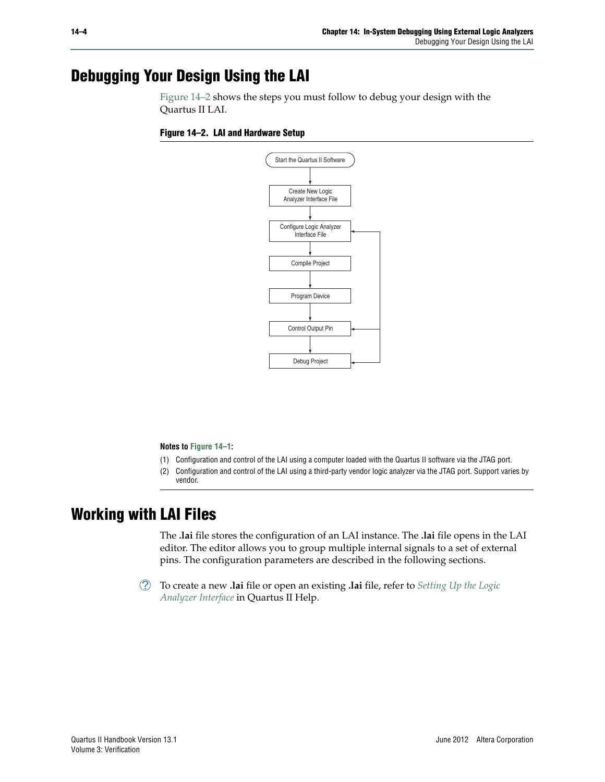## <span id="page-3-1"></span>**Debugging Your Design Using the LAI**

[Figure 14–2](#page-3-2) shows the steps you must follow to debug your design with the Quartus II LAI.

#### <span id="page-3-2"></span>**Figure 14–2. LAI and Hardware Setup**



**Notes to [Figure 14–1](#page-2-0):**

- (1) Configuration and control of the LAI using a computer loaded with the Quartus II software via the JTAG port.
- (2) Configuration and control of the LAI using a third-party vendor logic analyzer via the JTAG port. Support varies by vendor.

## <span id="page-3-0"></span>**Working with LAI Files**

The **.lai** file stores the configuration of an LAI instance. The **.lai** file opens in the LAI editor. The editor allows you to group multiple internal signals to a set of external pins. The configuration parameters are described in the following sections.

h To create a new **.lai** file or open an existing **.lai** file, refer to *[Setting Up the Logic](http://quartushelp.altera.com/current/master.htm#mergedProjects/program/lai/lai_pro_setup_lai.htm) [Analyzer Interface](http://quartushelp.altera.com/current/master.htm#mergedProjects/program/lai/lai_pro_setup_lai.htm)* in Quartus II Help.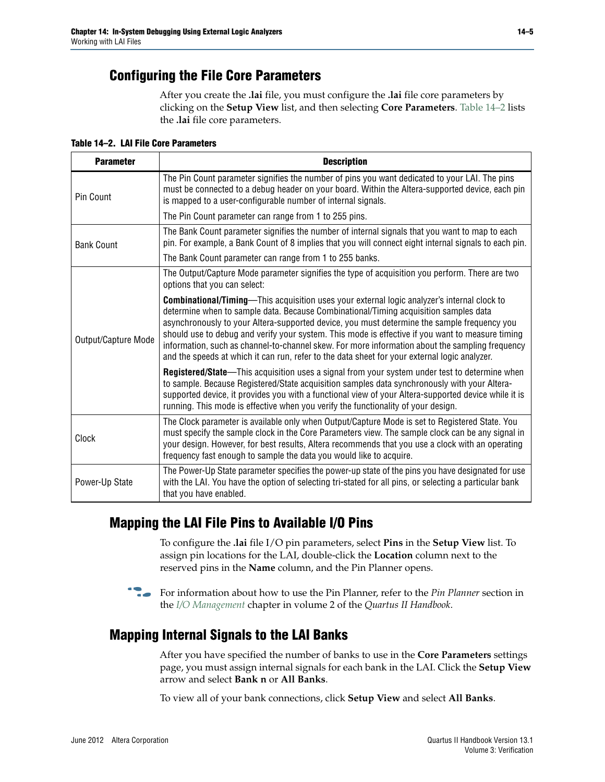#### **Configuring the File Core Parameters**

After you create the **.lai** file, you must configure the **.lai** file core parameters by clicking on the **Setup View** list, and then selecting **Core Parameters**. [Table 14–2](#page-4-0) lists the **.lai** file core parameters.

<span id="page-4-0"></span>**Table 14–2. LAI File Core Parameters**

| <b>Parameter</b>    | <b>Description</b>                                                                                                                                                                                                                                                                                                                                                                                                                                                                                                                                                                                |
|---------------------|---------------------------------------------------------------------------------------------------------------------------------------------------------------------------------------------------------------------------------------------------------------------------------------------------------------------------------------------------------------------------------------------------------------------------------------------------------------------------------------------------------------------------------------------------------------------------------------------------|
| Pin Count           | The Pin Count parameter signifies the number of pins you want dedicated to your LAI. The pins<br>must be connected to a debug header on your board. Within the Altera-supported device, each pin<br>is mapped to a user-configurable number of internal signals.                                                                                                                                                                                                                                                                                                                                  |
|                     | The Pin Count parameter can range from 1 to 255 pins.                                                                                                                                                                                                                                                                                                                                                                                                                                                                                                                                             |
| <b>Bank Count</b>   | The Bank Count parameter signifies the number of internal signals that you want to map to each<br>pin. For example, a Bank Count of 8 implies that you will connect eight internal signals to each pin.                                                                                                                                                                                                                                                                                                                                                                                           |
|                     | The Bank Count parameter can range from 1 to 255 banks.                                                                                                                                                                                                                                                                                                                                                                                                                                                                                                                                           |
| Output/Capture Mode | The Output/Capture Mode parameter signifies the type of acquisition you perform. There are two<br>options that you can select:                                                                                                                                                                                                                                                                                                                                                                                                                                                                    |
|                     | <b>Combinational/Timing—This acquisition uses your external logic analyzer's internal clock to</b><br>determine when to sample data. Because Combinational/Timing acquisition samples data<br>asynchronously to your Altera-supported device, you must determine the sample frequency you<br>should use to debug and verify your system. This mode is effective if you want to measure timing<br>information, such as channel-to-channel skew. For more information about the sampling frequency<br>and the speeds at which it can run, refer to the data sheet for your external logic analyzer. |
|                     | Registered/State—This acquisition uses a signal from your system under test to determine when<br>to sample. Because Registered/State acquisition samples data synchronously with your Altera-<br>supported device, it provides you with a functional view of your Altera-supported device while it is<br>running. This mode is effective when you verify the functionality of your design.                                                                                                                                                                                                        |
| Clock               | The Clock parameter is available only when Output/Capture Mode is set to Registered State. You<br>must specify the sample clock in the Core Parameters view. The sample clock can be any signal in<br>your design. However, for best results, Altera recommends that you use a clock with an operating<br>frequency fast enough to sample the data you would like to acquire.                                                                                                                                                                                                                     |
| Power-Up State      | The Power-Up State parameter specifies the power-up state of the pins you have designated for use<br>with the LAI. You have the option of selecting tri-stated for all pins, or selecting a particular bank<br>that you have enabled.                                                                                                                                                                                                                                                                                                                                                             |

## **Mapping the LAI File Pins to Available I/O Pins**

To configure the **.lai** file I/O pin parameters, select **Pins** in the **Setup View** list. To assign pin locations for the LAI, double-click the **Location** column next to the reserved pins in the **Name** column, and the Pin Planner opens.

f For information about how to use the Pin Planner, refer to the *Pin Planner* section in the *[I/O Management](http://www.altera.com/literature/hb/qts/qts_qii52013.pdf)* chapter in volume 2 of the *Quartus II Handbook*.

## **Mapping Internal Signals to the LAI Banks**

After you have specified the number of banks to use in the **Core Parameters** settings page, you must assign internal signals for each bank in the LAI. Click the **Setup View** arrow and select **Bank n** or **All Banks**.

To view all of your bank connections, click **Setup View** and select **All Banks**.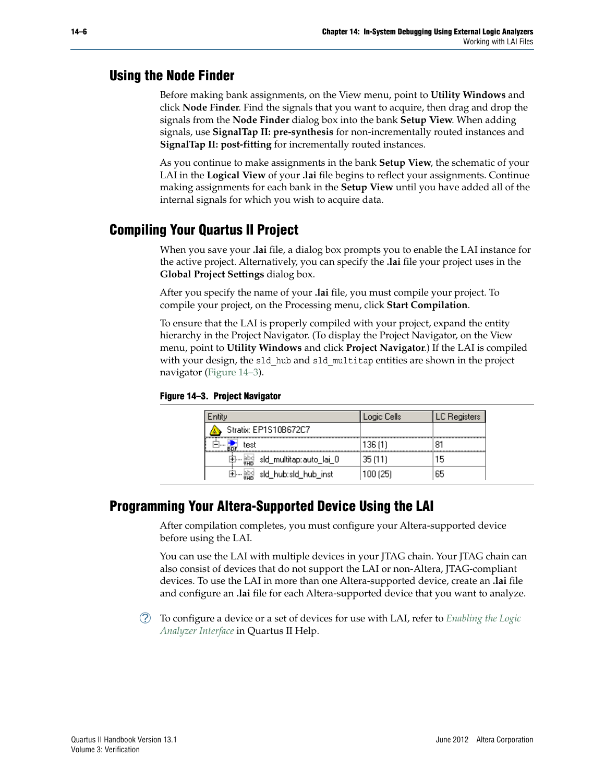#### **Using the Node Finder**

Before making bank assignments, on the View menu, point to **Utility Windows** and click **Node Finder**. Find the signals that you want to acquire, then drag and drop the signals from the **Node Finder** dialog box into the bank **Setup View**. When adding signals, use **SignalTap II: pre-synthesis** for non-incrementally routed instances and **SignalTap II: post-fitting** for incrementally routed instances.

As you continue to make assignments in the bank **Setup View**, the schematic of your LAI in the **Logical View** of your **.lai** file begins to reflect your assignments. Continue making assignments for each bank in the **Setup View** until you have added all of the internal signals for which you wish to acquire data.

## **Compiling Your Quartus II Project**

When you save your **.lai** file, a dialog box prompts you to enable the LAI instance for the active project. Alternatively, you can specify the **.lai** file your project uses in the **Global Project Settings** dialog box.

After you specify the name of your **.lai** file, you must compile your project. To compile your project, on the Processing menu, click **Start Compilation**.

To ensure that the LAI is properly compiled with your project, expand the entity hierarchy in the Project Navigator. (To display the Project Navigator, on the View menu, point to **Utility Windows** and click **Project Navigator**.) If the LAI is compiled with your design, the sld hub and sld multitap entities are shown in the project navigator [\(Figure 14–3\)](#page-5-0).

<span id="page-5-0"></span>

|  | Figure 14-3. Project Navigator |
|--|--------------------------------|
|  |                                |

|                                  | ogic Cells. | .C Registers: |
|----------------------------------|-------------|---------------|
| Stratix: EP1S10B672C7            |             |               |
| test                             | 136 (1)     | 81            |
| sld_multitap:auto_lai_0          | 35 (11)     | ם ו           |
| sld_hub:sld_hub_inst<br><b>+</b> | 100 (25)    | 65            |

## **Programming Your Altera-Supported Device Using the LAI**

After compilation completes, you must configure your Altera-supported device before using the LAI.

You can use the LAI with multiple devices in your JTAG chain. Your JTAG chain can also consist of devices that do not support the LAI or non-Altera, JTAG-compliant devices. To use the LAI in more than one Altera-supported device, create an **.lai** file and configure an **.lai** file for each Altera-supported device that you want to analyze.

h To configure a device or a set of devices for use with LAI, refer to *[Enabling the Logic](http://quartushelp.altera.com/current/master.htm#mergedProjects/program/lai/lai_pro_enabling_lai.htm) [Analyzer Interface](http://quartushelp.altera.com/current/master.htm#mergedProjects/program/lai/lai_pro_enabling_lai.htm)* in Quartus II Help.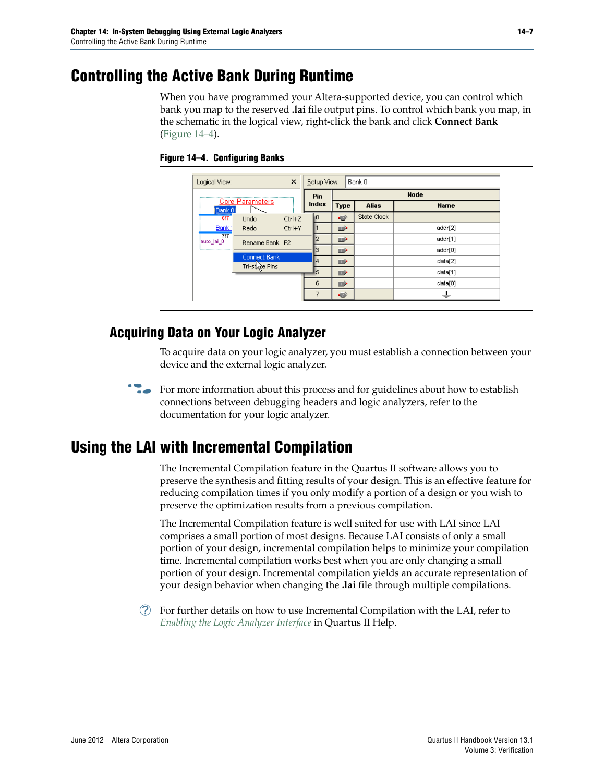# <span id="page-6-0"></span>**Controlling the Active Bank During Runtime**

When you have programmed your Altera-supported device, you can control which bank you map to the reserved **.lai** file output pins. To control which bank you map, in the schematic in the logical view, right-click the bank and click **Connect Bank** [\(Figure 14–4](#page-6-2)).

|                             |                        | Pin        | <b>Node</b> |             |              |             |
|-----------------------------|------------------------|------------|-------------|-------------|--------------|-------------|
| Bank 0                      | <b>Core Parameters</b> |            | Index       | <b>Type</b> | <b>Alias</b> | <b>Name</b> |
| 617                         | <b>Undo</b>            | $Ctrl + Z$ | n           | œ           | State Clock  |             |
| Bank:                       | Redo                   | Ctrl+Y     |             | D           |              | addr[2]     |
| 717<br>lauto lai 0          | Rename Bank F2         |            |             | ⋻           |              | addr[1]     |
| ,,,,,,,,,,,,,,,,,,,,,,,,,,, |                        |            | з           | D           |              | addr[0]     |
|                             | Connect Bank           |            | 4           | ⋻           |              | data[2]     |
|                             | Tri-state Pins         |            | 5           | ⊵           |              | data[1]     |
|                             |                        |            | 6           | D           |              | data[0]     |
|                             |                        |            |             | o           |              |             |

<span id="page-6-2"></span>**Figure 14–4. Configuring Banks**

#### **Acquiring Data on Your Logic Analyzer**

To acquire data on your logic analyzer, you must establish a connection between your device and the external logic analyzer.



## <span id="page-6-1"></span>**Using the LAI with Incremental Compilation**

The Incremental Compilation feature in the Quartus II software allows you to preserve the synthesis and fitting results of your design. This is an effective feature for reducing compilation times if you only modify a portion of a design or you wish to preserve the optimization results from a previous compilation.

The Incremental Compilation feature is well suited for use with LAI since LAI comprises a small portion of most designs. Because LAI consists of only a small portion of your design, incremental compilation helps to minimize your compilation time. Incremental compilation works best when you are only changing a small portion of your design. Incremental compilation yields an accurate representation of your design behavior when changing the **.lai** file through multiple compilations.

 $\mathcal{P}$  For further details on how to use Incremental Compilation with the LAI, refer to *[Enabling the Logic Analyzer Interface](http://quartushelp.altera.com/current/master.htm#mergedProjects/program/lai/lai_pro_enabling_lai.htm)* in Quartus II Help.